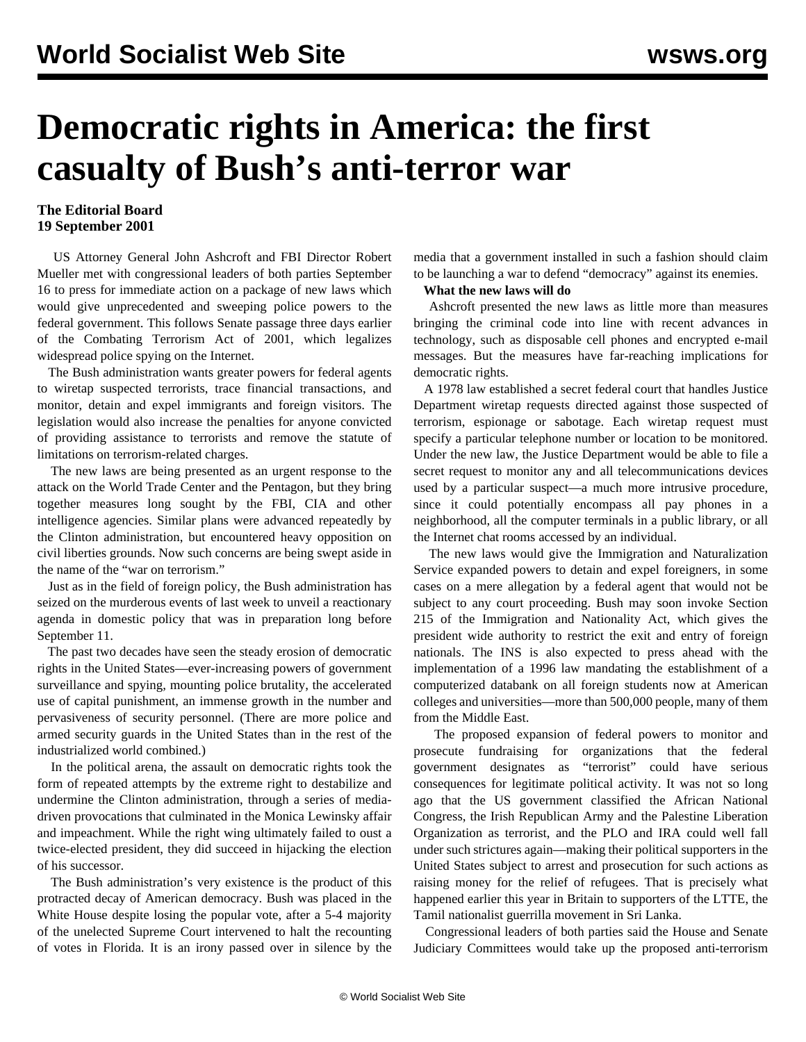## <span id="page-0-0"></span>**Democratic rights in America: the first casualty of Bush's anti-terror war**

## **The Editorial Board 19 September 2001**

 US Attorney General John Ashcroft and FBI Director Robert Mueller met with congressional leaders of both parties September 16 to press for immediate action on a package of new laws which would give unprecedented and sweeping police powers to the federal government. This follows Senate passage three days earlier of the Combating Terrorism Act of 2001, which legalizes widespread police spying on the Internet.

 The Bush administration wants greater powers for federal agents to wiretap suspected terrorists, trace financial transactions, and monitor, detain and expel immigrants and foreign visitors. The legislation would also increase the penalties for anyone convicted of providing assistance to terrorists and remove the statute of limitations on terrorism-related charges.

 The new laws are being presented as an urgent response to the attack on the World Trade Center and the Pentagon, but they bring together measures long sought by the FBI, CIA and other intelligence agencies. Similar plans were advanced repeatedly by the Clinton administration, but encountered heavy opposition on civil liberties grounds. Now such concerns are being swept aside in the name of the "war on terrorism."

 Just as in the field of foreign policy, the Bush administration has seized on the murderous events of last week to unveil a reactionary agenda in domestic policy that was in preparation long before September 11.

 The past two decades have seen the steady erosion of democratic rights in the United States—ever-increasing powers of government surveillance and spying, mounting police brutality, the accelerated use of capital punishment, an immense growth in the number and pervasiveness of security personnel. (There are more police and armed security guards in the United States than in the rest of the industrialized world combined.)

 In the political arena, the assault on democratic rights took the form of repeated attempts by the extreme right to destabilize and undermine the Clinton administration, through a series of mediadriven provocations that culminated in the Monica Lewinsky affair and impeachment. While the right wing ultimately failed to oust a twice-elected president, they did succeed in hijacking the election of his successor.

 The Bush administration's very existence is the product of this protracted decay of American democracy. Bush was placed in the White House despite losing the popular vote, after a 5-4 majority of the unelected Supreme Court intervened to halt the recounting of votes in Florida. It is an irony passed over in silence by the media that a government installed in such a fashion should claim to be launching a war to defend "democracy" against its enemies.

## **What the new laws will do**

 Ashcroft presented the new laws as little more than measures bringing the criminal code into line with recent advances in technology, such as disposable cell phones and encrypted e-mail messages. But the measures have far-reaching implications for democratic rights.

 A 1978 law established a secret federal court that handles Justice Department wiretap requests directed against those suspected of terrorism, espionage or sabotage. Each wiretap request must specify a particular telephone number or location to be monitored. Under the new law, the Justice Department would be able to file a secret request to monitor any and all telecommunications devices used by a particular suspect—a much more intrusive procedure, since it could potentially encompass all pay phones in a neighborhood, all the computer terminals in a public library, or all the Internet chat rooms accessed by an individual.

 The new laws would give the Immigration and Naturalization Service expanded powers to detain and expel foreigners, in some cases on a mere allegation by a federal agent that would not be subject to any court proceeding. Bush may soon invoke Section 215 of the Immigration and Nationality Act, which gives the president wide authority to restrict the exit and entry of foreign nationals. The INS is also expected to press ahead with the implementation of a 1996 law mandating the establishment of a computerized databank on all foreign students now at American colleges and universities—more than 500,000 people, many of them from the Middle East.

 The proposed expansion of federal powers to monitor and prosecute fundraising for organizations that the federal government designates as "terrorist" could have serious consequences for legitimate political activity. It was not so long ago that the US government classified the African National Congress, the Irish Republican Army and the Palestine Liberation Organization as terrorist, and the PLO and IRA could well fall under such strictures again—making their political supporters in the United States subject to arrest and prosecution for such actions as raising money for the relief of refugees. That is precisely what happened earlier this year in Britain to supporters of the LTTE, the Tamil nationalist guerrilla movement in Sri Lanka.

 Congressional leaders of both parties said the House and Senate Judiciary Committees would take up the proposed anti-terrorism